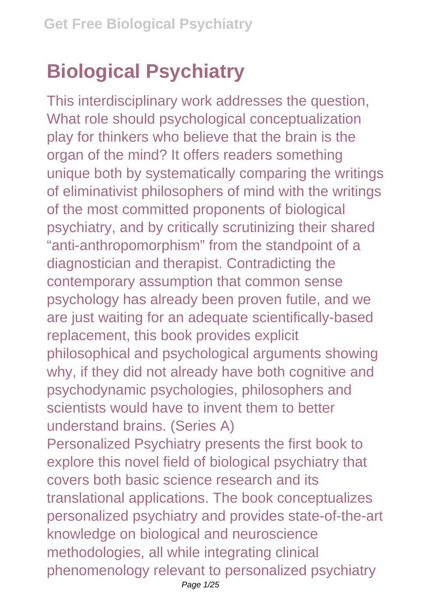## **Biological Psychiatry**

This interdisciplinary work addresses the question, What role should psychological conceptualization play for thinkers who believe that the brain is the organ of the mind? It offers readers something unique both by systematically comparing the writings of eliminativist philosophers of mind with the writings of the most committed proponents of biological psychiatry, and by critically scrutinizing their shared "anti-anthropomorphism" from the standpoint of a diagnostician and therapist. Contradicting the contemporary assumption that common sense psychology has already been proven futile, and we are just waiting for an adequate scientifically-based replacement, this book provides explicit philosophical and psychological arguments showing why, if they did not already have both cognitive and psychodynamic psychologies, philosophers and scientists would have to invent them to better understand brains. (Series A) Personalized Psychiatry presents the first book to explore this novel field of biological psychiatry that covers both basic science research and its translational applications. The book conceptualizes personalized psychiatry and provides state-of-the-art knowledge on biological and neuroscience methodologies, all while integrating clinical phenomenology relevant to personalized psychiatry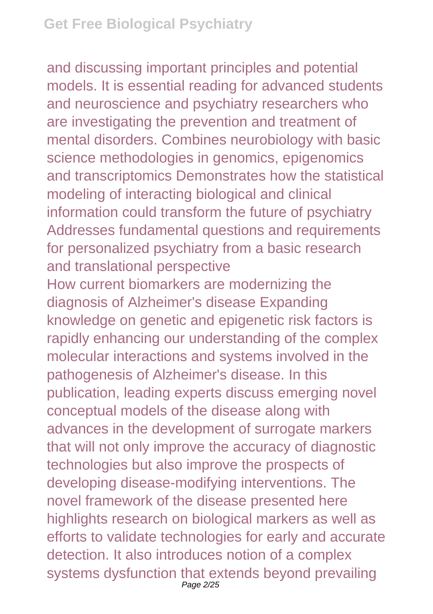and discussing important principles and potential models. It is essential reading for advanced students and neuroscience and psychiatry researchers who are investigating the prevention and treatment of mental disorders. Combines neurobiology with basic science methodologies in genomics, epigenomics and transcriptomics Demonstrates how the statistical modeling of interacting biological and clinical information could transform the future of psychiatry Addresses fundamental questions and requirements for personalized psychiatry from a basic research and translational perspective

How current biomarkers are modernizing the diagnosis of Alzheimer's disease Expanding knowledge on genetic and epigenetic risk factors is rapidly enhancing our understanding of the complex molecular interactions and systems involved in the pathogenesis of Alzheimer's disease. In this publication, leading experts discuss emerging novel conceptual models of the disease along with advances in the development of surrogate markers that will not only improve the accuracy of diagnostic technologies but also improve the prospects of developing disease-modifying interventions. The novel framework of the disease presented here highlights research on biological markers as well as efforts to validate technologies for early and accurate detection. It also introduces notion of a complex systems dysfunction that extends beyond prevailing Page 2/25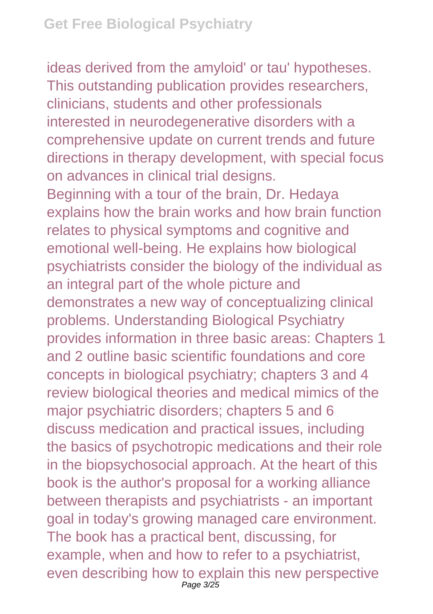ideas derived from the amyloid' or tau' hypotheses. This outstanding publication provides researchers, clinicians, students and other professionals interested in neurodegenerative disorders with a comprehensive update on current trends and future directions in therapy development, with special focus on advances in clinical trial designs. Beginning with a tour of the brain, Dr. Hedaya explains how the brain works and how brain function relates to physical symptoms and cognitive and emotional well-being. He explains how biological psychiatrists consider the biology of the individual as an integral part of the whole picture and demonstrates a new way of conceptualizing clinical problems. Understanding Biological Psychiatry provides information in three basic areas: Chapters 1 and 2 outline basic scientific foundations and core concepts in biological psychiatry; chapters 3 and 4 review biological theories and medical mimics of the major psychiatric disorders; chapters 5 and 6 discuss medication and practical issues, including the basics of psychotropic medications and their role in the biopsychosocial approach. At the heart of this book is the author's proposal for a working alliance between therapists and psychiatrists - an important goal in today's growing managed care environment. The book has a practical bent, discussing, for example, when and how to refer to a psychiatrist, even describing how to explain this new perspective Page 3/25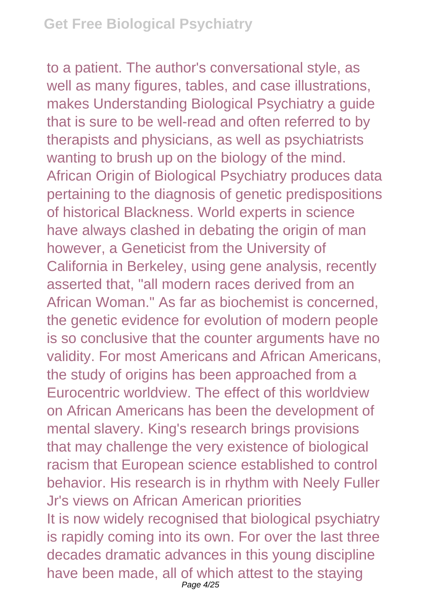to a patient. The author's conversational style, as well as many figures, tables, and case illustrations, makes Understanding Biological Psychiatry a guide that is sure to be well-read and often referred to by therapists and physicians, as well as psychiatrists wanting to brush up on the biology of the mind. African Origin of Biological Psychiatry produces data pertaining to the diagnosis of genetic predispositions of historical Blackness. World experts in science have always clashed in debating the origin of man however, a Geneticist from the University of California in Berkeley, using gene analysis, recently asserted that, "all modern races derived from an African Woman." As far as biochemist is concerned, the genetic evidence for evolution of modern people is so conclusive that the counter arguments have no validity. For most Americans and African Americans, the study of origins has been approached from a Eurocentric worldview. The effect of this worldview on African Americans has been the development of mental slavery. King's research brings provisions that may challenge the very existence of biological racism that European science established to control behavior. His research is in rhythm with Neely Fuller Jr's views on African American priorities It is now widely recognised that biological psychiatry is rapidly coming into its own. For over the last three decades dramatic advances in this young discipline have been made, all of which attest to the staying Page 4/25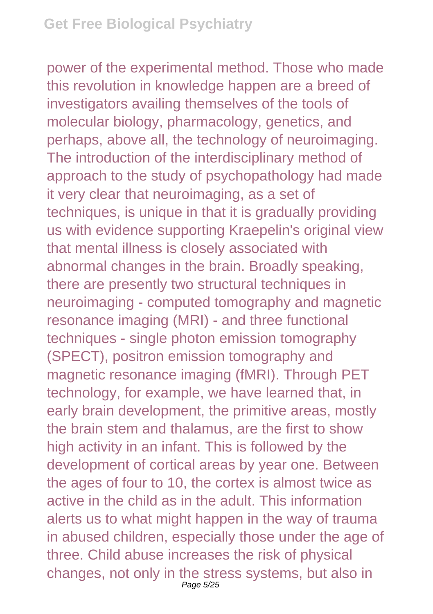power of the experimental method. Those who made this revolution in knowledge happen are a breed of investigators availing themselves of the tools of molecular biology, pharmacology, genetics, and perhaps, above all, the technology of neuroimaging. The introduction of the interdisciplinary method of approach to the study of psychopathology had made it very clear that neuroimaging, as a set of techniques, is unique in that it is gradually providing us with evidence supporting Kraepelin's original view that mental illness is closely associated with abnormal changes in the brain. Broadly speaking, there are presently two structural techniques in neuroimaging - computed tomography and magnetic resonance imaging (MRI) - and three functional techniques - single photon emission tomography (SPECT), positron emission tomography and magnetic resonance imaging (fMRI). Through PET technology, for example, we have learned that, in early brain development, the primitive areas, mostly the brain stem and thalamus, are the first to show high activity in an infant. This is followed by the development of cortical areas by year one. Between the ages of four to 10, the cortex is almost twice as active in the child as in the adult. This information alerts us to what might happen in the way of trauma in abused children, especially those under the age of three. Child abuse increases the risk of physical changes, not only in the stress systems, but also in Page 5/25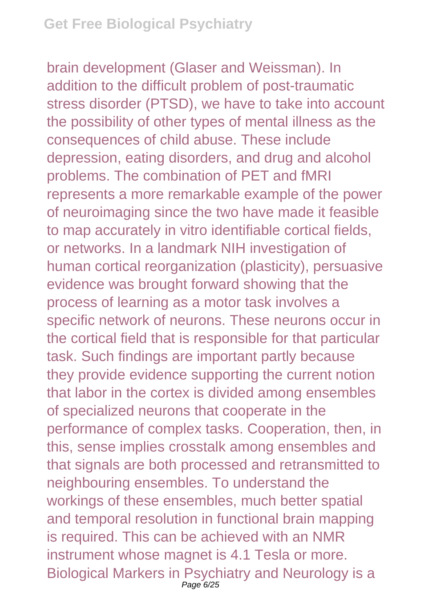brain development (Glaser and Weissman). In addition to the difficult problem of post-traumatic stress disorder (PTSD), we have to take into account the possibility of other types of mental illness as the consequences of child abuse. These include depression, eating disorders, and drug and alcohol problems. The combination of PET and fMRI represents a more remarkable example of the power of neuroimaging since the two have made it feasible to map accurately in vitro identifiable cortical fields, or networks. In a landmark NIH investigation of human cortical reorganization (plasticity), persuasive evidence was brought forward showing that the process of learning as a motor task involves a specific network of neurons. These neurons occur in the cortical field that is responsible for that particular task. Such findings are important partly because they provide evidence supporting the current notion that labor in the cortex is divided among ensembles of specialized neurons that cooperate in the performance of complex tasks. Cooperation, then, in this, sense implies crosstalk among ensembles and that signals are both processed and retransmitted to neighbouring ensembles. To understand the workings of these ensembles, much better spatial and temporal resolution in functional brain mapping is required. This can be achieved with an NMR instrument whose magnet is 4.1 Tesla or more. Biological Markers in Psychiatry and Neurology is a Page 6/25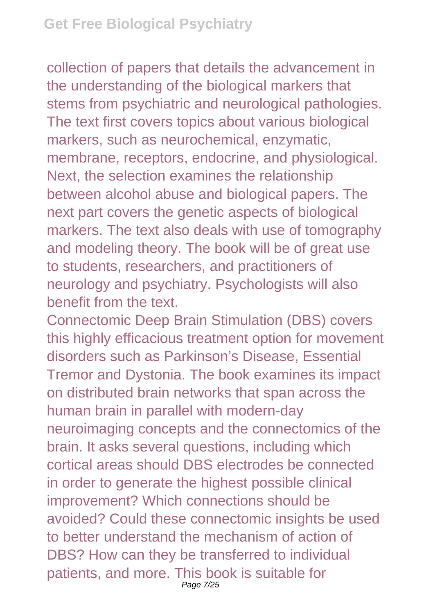collection of papers that details the advancement in the understanding of the biological markers that stems from psychiatric and neurological pathologies. The text first covers topics about various biological markers, such as neurochemical, enzymatic, membrane, receptors, endocrine, and physiological. Next, the selection examines the relationship between alcohol abuse and biological papers. The next part covers the genetic aspects of biological markers. The text also deals with use of tomography and modeling theory. The book will be of great use to students, researchers, and practitioners of neurology and psychiatry. Psychologists will also benefit from the text.

Connectomic Deep Brain Stimulation (DBS) covers this highly efficacious treatment option for movement disorders such as Parkinson's Disease, Essential Tremor and Dystonia. The book examines its impact on distributed brain networks that span across the human brain in parallel with modern-day neuroimaging concepts and the connectomics of the brain. It asks several questions, including which cortical areas should DBS electrodes be connected in order to generate the highest possible clinical improvement? Which connections should be avoided? Could these connectomic insights be used to better understand the mechanism of action of DBS? How can they be transferred to individual patients, and more. This book is suitable for Page 7/25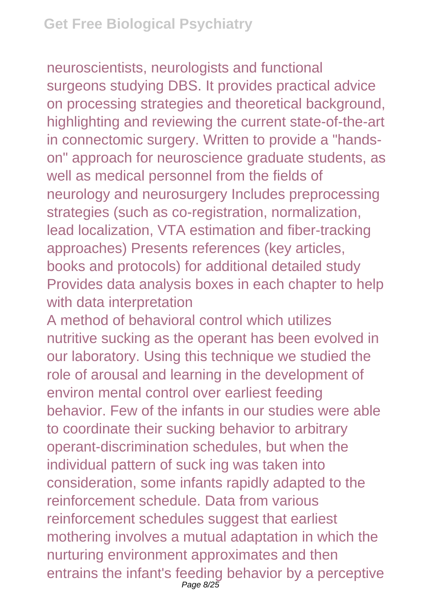neuroscientists, neurologists and functional surgeons studying DBS. It provides practical advice on processing strategies and theoretical background, highlighting and reviewing the current state-of-the-art in connectomic surgery. Written to provide a "handson" approach for neuroscience graduate students, as well as medical personnel from the fields of neurology and neurosurgery Includes preprocessing strategies (such as co-registration, normalization, lead localization, VTA estimation and fiber-tracking approaches) Presents references (key articles, books and protocols) for additional detailed study Provides data analysis boxes in each chapter to help with data interpretation

A method of behavioral control which utilizes nutritive sucking as the operant has been evolved in our laboratory. Using this technique we studied the role of arousal and learning in the development of environ mental control over earliest feeding behavior. Few of the infants in our studies were able to coordinate their sucking behavior to arbitrary operant-discrimination schedules, but when the individual pattern of suck ing was taken into consideration, some infants rapidly adapted to the reinforcement schedule. Data from various reinforcement schedules suggest that earliest mothering involves a mutual adaptation in which the nurturing environment approximates and then entrains the infant's feeding behavior by a perceptive Page 8/25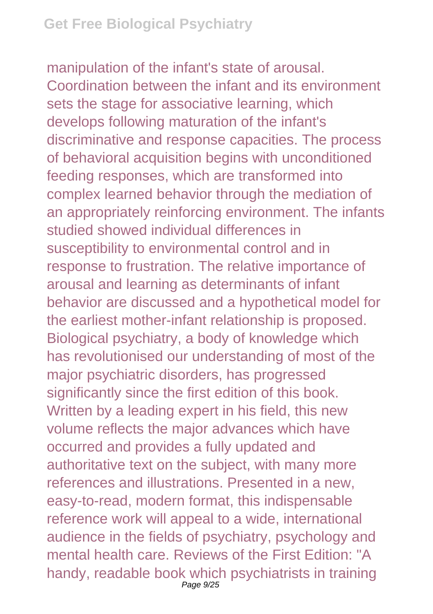manipulation of the infant's state of arousal. Coordination between the infant and its environment sets the stage for associative learning, which develops following maturation of the infant's discriminative and response capacities. The process of behavioral acquisition begins with unconditioned feeding responses, which are transformed into complex learned behavior through the mediation of an appropriately reinforcing environment. The infants studied showed individual differences in susceptibility to environmental control and in response to frustration. The relative importance of arousal and learning as determinants of infant behavior are discussed and a hypothetical model for the earliest mother-infant relationship is proposed. Biological psychiatry, a body of knowledge which has revolutionised our understanding of most of the major psychiatric disorders, has progressed significantly since the first edition of this book. Written by a leading expert in his field, this new volume reflects the major advances which have occurred and provides a fully updated and authoritative text on the subject, with many more references and illustrations. Presented in a new, easy-to-read, modern format, this indispensable reference work will appeal to a wide, international audience in the fields of psychiatry, psychology and mental health care. Reviews of the First Edition: "A handy, readable book which psychiatrists in training Page 9/25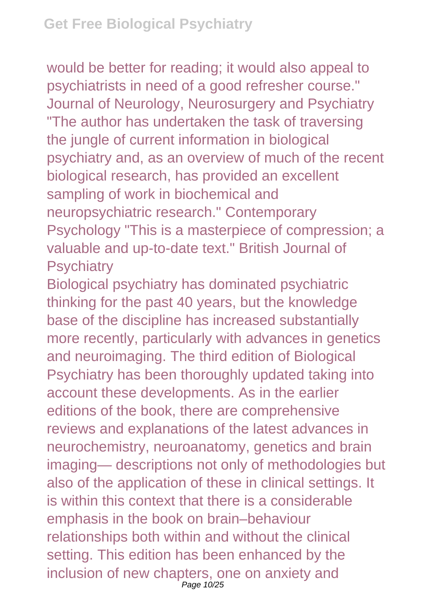would be better for reading; it would also appeal to psychiatrists in need of a good refresher course." Journal of Neurology, Neurosurgery and Psychiatry "The author has undertaken the task of traversing the jungle of current information in biological psychiatry and, as an overview of much of the recent biological research, has provided an excellent sampling of work in biochemical and neuropsychiatric research." Contemporary Psychology "This is a masterpiece of compression; a valuable and up-to-date text." British Journal of **Psychiatry** 

Biological psychiatry has dominated psychiatric thinking for the past 40 years, but the knowledge base of the discipline has increased substantially more recently, particularly with advances in genetics and neuroimaging. The third edition of Biological Psychiatry has been thoroughly updated taking into account these developments. As in the earlier editions of the book, there are comprehensive reviews and explanations of the latest advances in neurochemistry, neuroanatomy, genetics and brain imaging— descriptions not only of methodologies but also of the application of these in clinical settings. It is within this context that there is a considerable emphasis in the book on brain–behaviour relationships both within and without the clinical setting. This edition has been enhanced by the inclusion of new chapters, one on anxiety and Page 10/25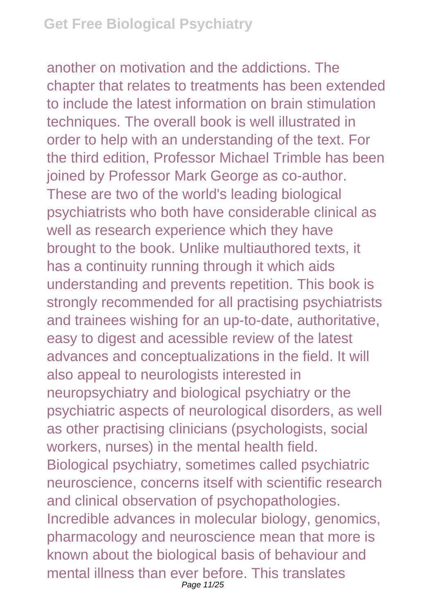## **Get Free Biological Psychiatry**

another on motivation and the addictions. The chapter that relates to treatments has been extended to include the latest information on brain stimulation techniques. The overall book is well illustrated in order to help with an understanding of the text. For the third edition, Professor Michael Trimble has been joined by Professor Mark George as co-author. These are two of the world's leading biological psychiatrists who both have considerable clinical as well as research experience which they have brought to the book. Unlike multiauthored texts, it has a continuity running through it which aids understanding and prevents repetition. This book is strongly recommended for all practising psychiatrists and trainees wishing for an up-to-date, authoritative, easy to digest and acessible review of the latest advances and conceptualizations in the field. It will also appeal to neurologists interested in neuropsychiatry and biological psychiatry or the psychiatric aspects of neurological disorders, as well as other practising clinicians (psychologists, social workers, nurses) in the mental health field. Biological psychiatry, sometimes called psychiatric neuroscience, concerns itself with scientific research and clinical observation of psychopathologies. Incredible advances in molecular biology, genomics, pharmacology and neuroscience mean that more is known about the biological basis of behaviour and mental illness than ever before. This translates Page 11/25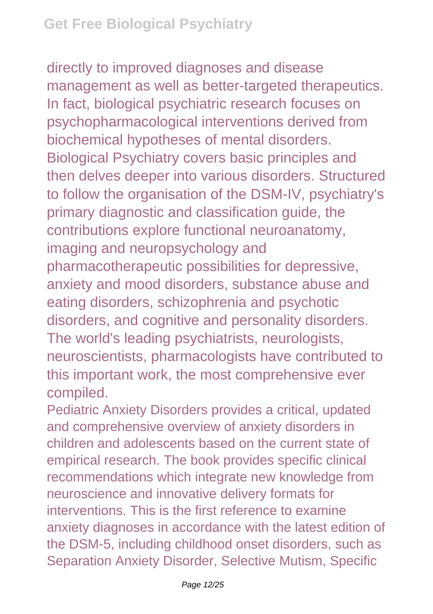directly to improved diagnoses and disease management as well as better-targeted therapeutics. In fact, biological psychiatric research focuses on psychopharmacological interventions derived from biochemical hypotheses of mental disorders. Biological Psychiatry covers basic principles and then delves deeper into various disorders. Structured to follow the organisation of the DSM-IV, psychiatry's primary diagnostic and classification guide, the contributions explore functional neuroanatomy, imaging and neuropsychology and pharmacotherapeutic possibilities for depressive, anxiety and mood disorders, substance abuse and eating disorders, schizophrenia and psychotic disorders, and cognitive and personality disorders. The world's leading psychiatrists, neurologists, neuroscientists, pharmacologists have contributed to this important work, the most comprehensive ever compiled.

Pediatric Anxiety Disorders provides a critical, updated and comprehensive overview of anxiety disorders in children and adolescents based on the current state of empirical research. The book provides specific clinical recommendations which integrate new knowledge from neuroscience and innovative delivery formats for interventions. This is the first reference to examine anxiety diagnoses in accordance with the latest edition of the DSM-5, including childhood onset disorders, such as Separation Anxiety Disorder, Selective Mutism, Specific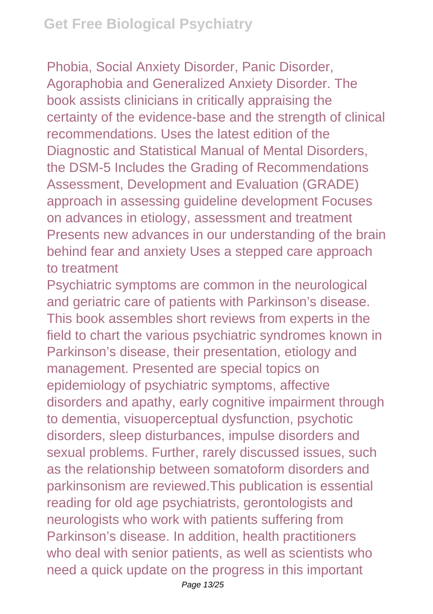Phobia, Social Anxiety Disorder, Panic Disorder, Agoraphobia and Generalized Anxiety Disorder. The book assists clinicians in critically appraising the certainty of the evidence-base and the strength of clinical recommendations. Uses the latest edition of the Diagnostic and Statistical Manual of Mental Disorders, the DSM-5 Includes the Grading of Recommendations Assessment, Development and Evaluation (GRADE) approach in assessing guideline development Focuses on advances in etiology, assessment and treatment Presents new advances in our understanding of the brain behind fear and anxiety Uses a stepped care approach to treatment

Psychiatric symptoms are common in the neurological and geriatric care of patients with Parkinson's disease. This book assembles short reviews from experts in the field to chart the various psychiatric syndromes known in Parkinson's disease, their presentation, etiology and management. Presented are special topics on epidemiology of psychiatric symptoms, affective disorders and apathy, early cognitive impairment through to dementia, visuoperceptual dysfunction, psychotic disorders, sleep disturbances, impulse disorders and sexual problems. Further, rarely discussed issues, such as the relationship between somatoform disorders and parkinsonism are reviewed.This publication is essential reading for old age psychiatrists, gerontologists and neurologists who work with patients suffering from Parkinson's disease. In addition, health practitioners who deal with senior patients, as well as scientists who need a quick update on the progress in this important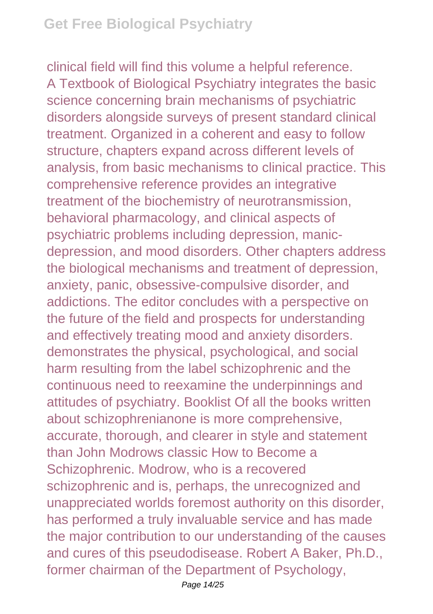clinical field will find this volume a helpful reference. A Textbook of Biological Psychiatry integrates the basic science concerning brain mechanisms of psychiatric disorders alongside surveys of present standard clinical treatment. Organized in a coherent and easy to follow structure, chapters expand across different levels of analysis, from basic mechanisms to clinical practice. This comprehensive reference provides an integrative treatment of the biochemistry of neurotransmission, behavioral pharmacology, and clinical aspects of psychiatric problems including depression, manicdepression, and mood disorders. Other chapters address the biological mechanisms and treatment of depression, anxiety, panic, obsessive-compulsive disorder, and addictions. The editor concludes with a perspective on the future of the field and prospects for understanding and effectively treating mood and anxiety disorders. demonstrates the physical, psychological, and social harm resulting from the label schizophrenic and the continuous need to reexamine the underpinnings and attitudes of psychiatry. Booklist Of all the books written about schizophrenianone is more comprehensive, accurate, thorough, and clearer in style and statement than John Modrows classic How to Become a Schizophrenic. Modrow, who is a recovered schizophrenic and is, perhaps, the unrecognized and unappreciated worlds foremost authority on this disorder, has performed a truly invaluable service and has made the major contribution to our understanding of the causes and cures of this pseudodisease. Robert A Baker, Ph.D., former chairman of the Department of Psychology,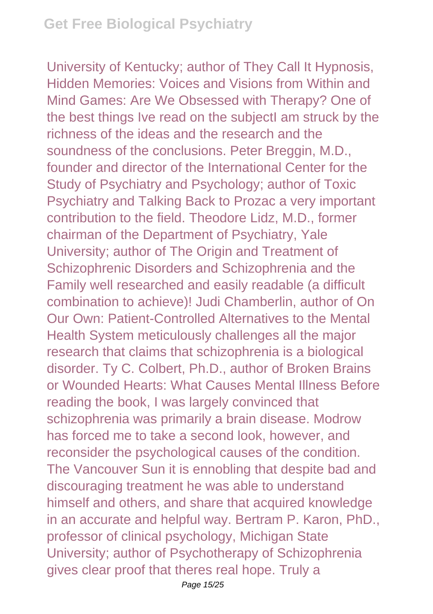University of Kentucky; author of They Call It Hypnosis, Hidden Memories: Voices and Visions from Within and Mind Games: Are We Obsessed with Therapy? One of the best things Ive read on the subjectI am struck by the richness of the ideas and the research and the soundness of the conclusions. Peter Breggin, M.D., founder and director of the International Center for the Study of Psychiatry and Psychology; author of Toxic Psychiatry and Talking Back to Prozac a very important contribution to the field. Theodore Lidz, M.D., former chairman of the Department of Psychiatry, Yale University; author of The Origin and Treatment of Schizophrenic Disorders and Schizophrenia and the Family well researched and easily readable (a difficult combination to achieve)! Judi Chamberlin, author of On Our Own: Patient-Controlled Alternatives to the Mental Health System meticulously challenges all the major research that claims that schizophrenia is a biological disorder. Ty C. Colbert, Ph.D., author of Broken Brains or Wounded Hearts: What Causes Mental Illness Before reading the book, I was largely convinced that schizophrenia was primarily a brain disease. Modrow has forced me to take a second look, however, and reconsider the psychological causes of the condition. The Vancouver Sun it is ennobling that despite bad and discouraging treatment he was able to understand himself and others, and share that acquired knowledge in an accurate and helpful way. Bertram P. Karon, PhD., professor of clinical psychology, Michigan State University; author of Psychotherapy of Schizophrenia gives clear proof that theres real hope. Truly a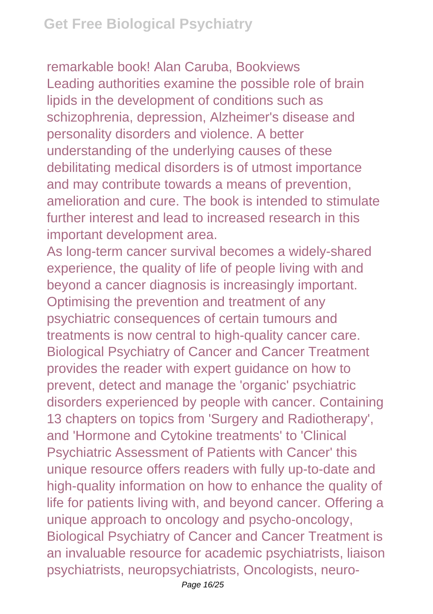remarkable book! Alan Caruba, Bookviews Leading authorities examine the possible role of brain lipids in the development of conditions such as schizophrenia, depression, Alzheimer's disease and personality disorders and violence. A better understanding of the underlying causes of these debilitating medical disorders is of utmost importance and may contribute towards a means of prevention, amelioration and cure. The book is intended to stimulate further interest and lead to increased research in this important development area.

As long-term cancer survival becomes a widely-shared experience, the quality of life of people living with and beyond a cancer diagnosis is increasingly important. Optimising the prevention and treatment of any psychiatric consequences of certain tumours and treatments is now central to high-quality cancer care. Biological Psychiatry of Cancer and Cancer Treatment provides the reader with expert guidance on how to prevent, detect and manage the 'organic' psychiatric disorders experienced by people with cancer. Containing 13 chapters on topics from 'Surgery and Radiotherapy', and 'Hormone and Cytokine treatments' to 'Clinical Psychiatric Assessment of Patients with Cancer' this unique resource offers readers with fully up-to-date and high-quality information on how to enhance the quality of life for patients living with, and beyond cancer. Offering a unique approach to oncology and psycho-oncology, Biological Psychiatry of Cancer and Cancer Treatment is an invaluable resource for academic psychiatrists, liaison psychiatrists, neuropsychiatrists, Oncologists, neuro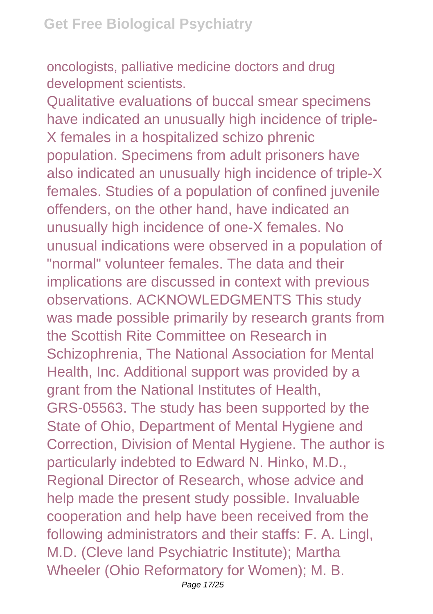oncologists, palliative medicine doctors and drug development scientists.

Qualitative evaluations of buccal smear specimens have indicated an unusually high incidence of triple-X females in a hospitalized schizo phrenic population. Specimens from adult prisoners have also indicated an unusually high incidence of triple-X females. Studies of a population of confined juvenile offenders, on the other hand, have indicated an unusually high incidence of one-X females. No unusual indications were observed in a population of "normal" volunteer females. The data and their implications are discussed in context with previous observations. ACKNOWLEDGMENTS This study was made possible primarily by research grants from the Scottish Rite Committee on Research in Schizophrenia, The National Association for Mental Health, Inc. Additional support was provided by a grant from the National Institutes of Health, GRS-05563. The study has been supported by the State of Ohio, Department of Mental Hygiene and Correction, Division of Mental Hygiene. The author is particularly indebted to Edward N. Hinko, M.D., Regional Director of Research, whose advice and help made the present study possible. Invaluable cooperation and help have been received from the following administrators and their staffs: F. A. Lingl, M.D. (Cleve land Psychiatric Institute); Martha Wheeler (Ohio Reformatory for Women); M. B.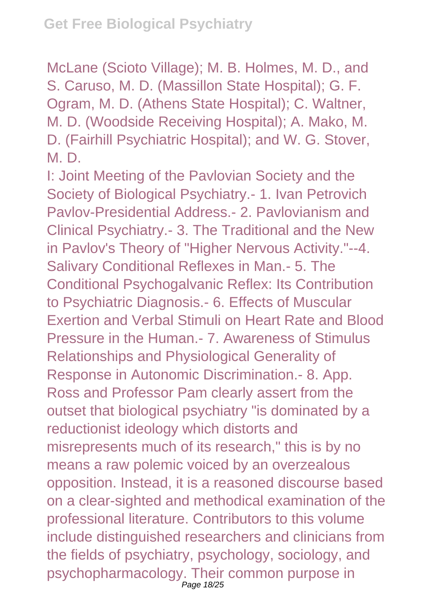McLane (Scioto Village); M. B. Holmes, M. D., and S. Caruso, M. D. (Massillon State Hospital); G. F. Ogram, M. D. (Athens State Hospital); C. Waltner, M. D. (Woodside Receiving Hospital); A. Mako, M. D. (Fairhill Psychiatric Hospital); and W. G. Stover, M. D.

I: Joint Meeting of the Pavlovian Society and the Society of Biological Psychiatry.- 1. Ivan Petrovich Pavlov-Presidential Address.- 2. Pavlovianism and Clinical Psychiatry.- 3. The Traditional and the New in Pavlov's Theory of "Higher Nervous Activity."--4. Salivary Conditional Reflexes in Man.- 5. The Conditional Psychogalvanic Reflex: Its Contribution to Psychiatric Diagnosis.- 6. Effects of Muscular Exertion and Verbal Stimuli on Heart Rate and Blood Pressure in the Human.- 7. Awareness of Stimulus Relationships and Physiological Generality of Response in Autonomic Discrimination.- 8. App. Ross and Professor Pam clearly assert from the outset that biological psychiatry "is dominated by a reductionist ideology which distorts and misrepresents much of its research," this is by no means a raw polemic voiced by an overzealous opposition. Instead, it is a reasoned discourse based on a clear-sighted and methodical examination of the professional literature. Contributors to this volume include distinguished researchers and clinicians from the fields of psychiatry, psychology, sociology, and psychopharmacology. Their common purpose in Page 18/25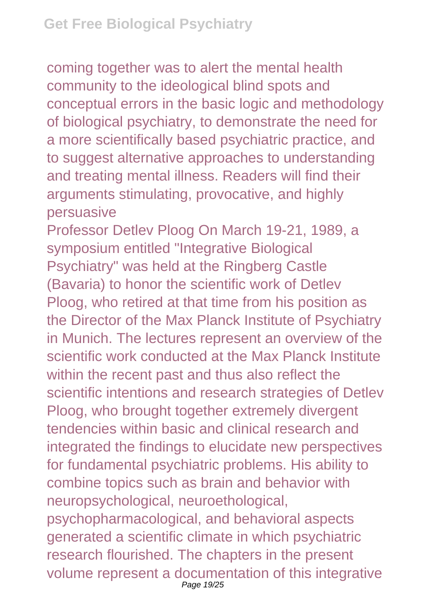coming together was to alert the mental health community to the ideological blind spots and conceptual errors in the basic logic and methodology of biological psychiatry, to demonstrate the need for a more scientifically based psychiatric practice, and to suggest alternative approaches to understanding and treating mental illness. Readers will find their arguments stimulating, provocative, and highly persuasive

Professor Detlev Ploog On March 19-21, 1989, a symposium entitled "Integrative Biological Psychiatry" was held at the Ringberg Castle (Bavaria) to honor the scientific work of Detlev Ploog, who retired at that time from his position as the Director of the Max Planck Institute of Psychiatry in Munich. The lectures represent an overview of the scientific work conducted at the Max Planck Institute within the recent past and thus also reflect the scientific intentions and research strategies of Detlev Ploog, who brought together extremely divergent tendencies within basic and clinical research and integrated the findings to elucidate new perspectives for fundamental psychiatric problems. His ability to combine topics such as brain and behavior with neuropsychological, neuroethological, psychopharmacological, and behavioral aspects generated a scientific climate in which psychiatric research flourished. The chapters in the present volume represent a documentation of this integrative Page 19/25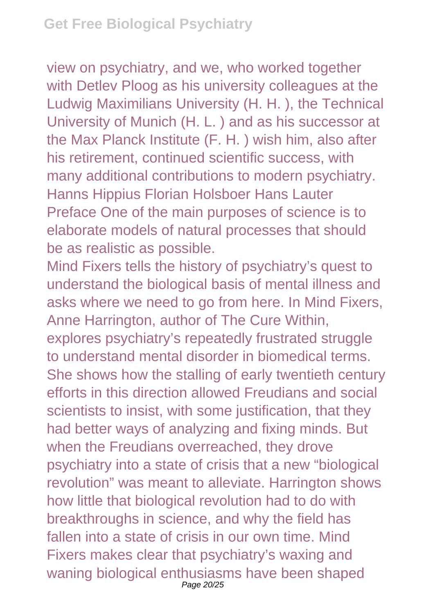view on psychiatry, and we, who worked together with Detlev Ploog as his university colleagues at the Ludwig Maximilians University (H. H. ), the Technical University of Munich (H. L. ) and as his successor at the Max Planck Institute (F. H. ) wish him, also after his retirement, continued scientific success, with many additional contributions to modern psychiatry. Hanns Hippius Florian Holsboer Hans Lauter Preface One of the main purposes of science is to elaborate models of natural processes that should be as realistic as possible.

Mind Fixers tells the history of psychiatry's quest to understand the biological basis of mental illness and asks where we need to go from here. In Mind Fixers, Anne Harrington, author of The Cure Within, explores psychiatry's repeatedly frustrated struggle to understand mental disorder in biomedical terms. She shows how the stalling of early twentieth century efforts in this direction allowed Freudians and social scientists to insist, with some justification, that they had better ways of analyzing and fixing minds. But when the Freudians overreached, they drove psychiatry into a state of crisis that a new "biological revolution" was meant to alleviate. Harrington shows how little that biological revolution had to do with breakthroughs in science, and why the field has fallen into a state of crisis in our own time. Mind Fixers makes clear that psychiatry's waxing and waning biological enthusiasms have been shaped Page 20/25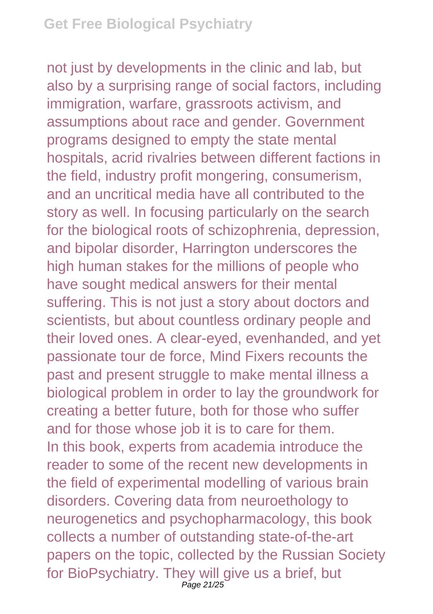not just by developments in the clinic and lab, but also by a surprising range of social factors, including immigration, warfare, grassroots activism, and assumptions about race and gender. Government programs designed to empty the state mental hospitals, acrid rivalries between different factions in the field, industry profit mongering, consumerism, and an uncritical media have all contributed to the story as well. In focusing particularly on the search for the biological roots of schizophrenia, depression, and bipolar disorder, Harrington underscores the high human stakes for the millions of people who have sought medical answers for their mental suffering. This is not just a story about doctors and scientists, but about countless ordinary people and their loved ones. A clear-eyed, evenhanded, and yet passionate tour de force, Mind Fixers recounts the past and present struggle to make mental illness a biological problem in order to lay the groundwork for creating a better future, both for those who suffer and for those whose job it is to care for them. In this book, experts from academia introduce the reader to some of the recent new developments in the field of experimental modelling of various brain disorders. Covering data from neuroethology to neurogenetics and psychopharmacology, this book collects a number of outstanding state-of-the-art papers on the topic, collected by the Russian Society for BioPsychiatry. They will give us a brief, but Page 21/25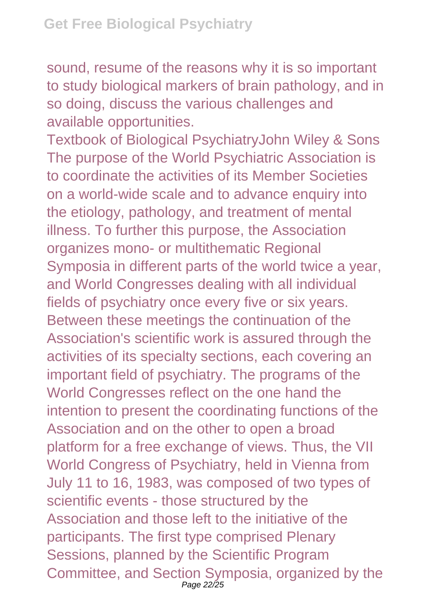sound, resume of the reasons why it is so important to study biological markers of brain pathology, and in so doing, discuss the various challenges and available opportunities.

Textbook of Biological PsychiatryJohn Wiley & Sons The purpose of the World Psychiatric Association is to coordinate the activities of its Member Societies on a world-wide scale and to advance enquiry into the etiology, pathology, and treatment of mental illness. To further this purpose, the Association organizes mono- or multithematic Regional Symposia in different parts of the world twice a year, and World Congresses dealing with all individual fields of psychiatry once every five or six years. Between these meetings the continuation of the Association's scientific work is assured through the activities of its specialty sections, each covering an important field of psychiatry. The programs of the World Congresses reflect on the one hand the intention to present the coordinating functions of the Association and on the other to open a broad platform for a free exchange of views. Thus, the VII World Congress of Psychiatry, held in Vienna from July 11 to 16, 1983, was composed of two types of scientific events - those structured by the Association and those left to the initiative of the participants. The first type comprised Plenary Sessions, planned by the Scientific Program Committee, and Section Symposia, organized by the Page 22/25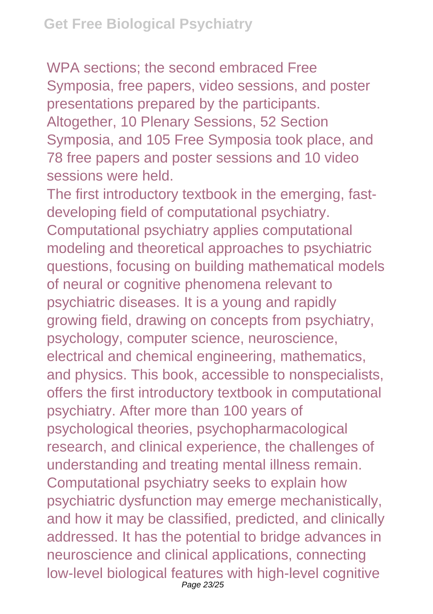WPA sections; the second embraced Free Symposia, free papers, video sessions, and poster presentations prepared by the participants. Altogether, 10 Plenary Sessions, 52 Section Symposia, and 105 Free Symposia took place, and 78 free papers and poster sessions and 10 video sessions were held.

The first introductory textbook in the emerging, fastdeveloping field of computational psychiatry. Computational psychiatry applies computational modeling and theoretical approaches to psychiatric questions, focusing on building mathematical models of neural or cognitive phenomena relevant to psychiatric diseases. It is a young and rapidly growing field, drawing on concepts from psychiatry, psychology, computer science, neuroscience, electrical and chemical engineering, mathematics, and physics. This book, accessible to nonspecialists, offers the first introductory textbook in computational psychiatry. After more than 100 years of psychological theories, psychopharmacological research, and clinical experience, the challenges of understanding and treating mental illness remain. Computational psychiatry seeks to explain how psychiatric dysfunction may emerge mechanistically, and how it may be classified, predicted, and clinically addressed. It has the potential to bridge advances in neuroscience and clinical applications, connecting low-level biological features with high-level cognitive Page 23/25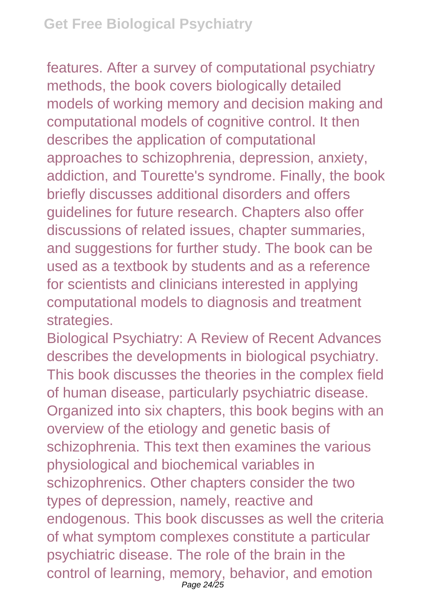features. After a survey of computational psychiatry methods, the book covers biologically detailed models of working memory and decision making and computational models of cognitive control. It then describes the application of computational approaches to schizophrenia, depression, anxiety, addiction, and Tourette's syndrome. Finally, the book briefly discusses additional disorders and offers guidelines for future research. Chapters also offer discussions of related issues, chapter summaries, and suggestions for further study. The book can be used as a textbook by students and as a reference for scientists and clinicians interested in applying computational models to diagnosis and treatment strategies.

Biological Psychiatry: A Review of Recent Advances describes the developments in biological psychiatry. This book discusses the theories in the complex field of human disease, particularly psychiatric disease. Organized into six chapters, this book begins with an overview of the etiology and genetic basis of schizophrenia. This text then examines the various physiological and biochemical variables in schizophrenics. Other chapters consider the two types of depression, namely, reactive and endogenous. This book discusses as well the criteria of what symptom complexes constitute a particular psychiatric disease. The role of the brain in the control of learning, memory, behavior, and emotion Page 24/25